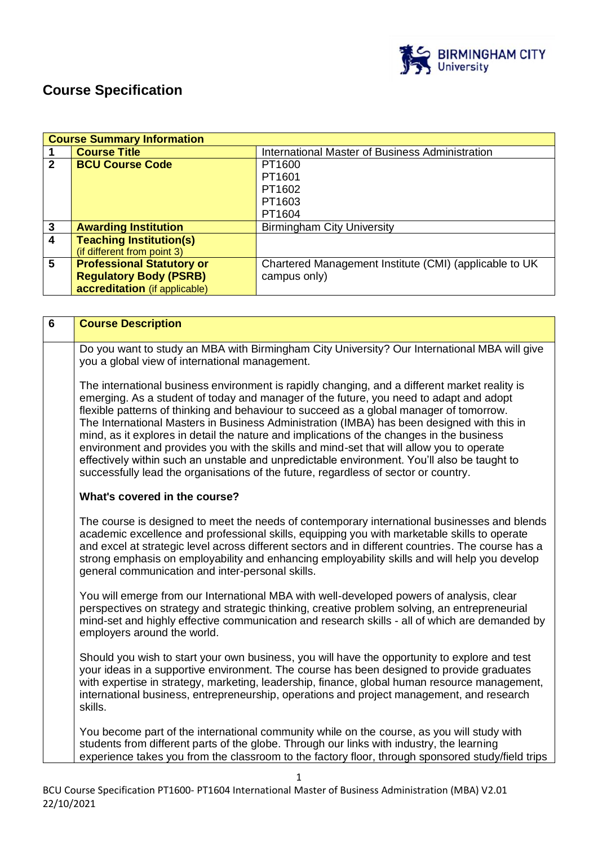

# **Course Specification**

|                | <b>Course Summary Information</b> |                                                        |
|----------------|-----------------------------------|--------------------------------------------------------|
|                | <b>Course Title</b>               | International Master of Business Administration        |
| $\overline{2}$ | <b>BCU Course Code</b>            | PT1600                                                 |
|                |                                   | PT1601                                                 |
|                |                                   | PT1602                                                 |
|                |                                   | PT1603                                                 |
|                |                                   | PT1604                                                 |
| $\mathbf{3}$   | <b>Awarding Institution</b>       | <b>Birmingham City University</b>                      |
| $\overline{4}$ | <b>Teaching Institution(s)</b>    |                                                        |
|                | (if different from point 3)       |                                                        |
| 5              | <b>Professional Statutory or</b>  | Chartered Management Institute (CMI) (applicable to UK |
|                | <b>Regulatory Body (PSRB)</b>     | campus only)                                           |
|                | accreditation (if applicable)     |                                                        |

| $6\phantom{1}$ | <b>Course Description</b>                                                                                                                                                                                                                                                                                                                                                                                                                                                                                                                                                                                                                                                                                                                                       |  |
|----------------|-----------------------------------------------------------------------------------------------------------------------------------------------------------------------------------------------------------------------------------------------------------------------------------------------------------------------------------------------------------------------------------------------------------------------------------------------------------------------------------------------------------------------------------------------------------------------------------------------------------------------------------------------------------------------------------------------------------------------------------------------------------------|--|
|                | Do you want to study an MBA with Birmingham City University? Our International MBA will give<br>you a global view of international management.                                                                                                                                                                                                                                                                                                                                                                                                                                                                                                                                                                                                                  |  |
|                | The international business environment is rapidly changing, and a different market reality is<br>emerging. As a student of today and manager of the future, you need to adapt and adopt<br>flexible patterns of thinking and behaviour to succeed as a global manager of tomorrow.<br>The International Masters in Business Administration (IMBA) has been designed with this in<br>mind, as it explores in detail the nature and implications of the changes in the business<br>environment and provides you with the skills and mind-set that will allow you to operate<br>effectively within such an unstable and unpredictable environment. You'll also be taught to<br>successfully lead the organisations of the future, regardless of sector or country. |  |
|                | What's covered in the course?                                                                                                                                                                                                                                                                                                                                                                                                                                                                                                                                                                                                                                                                                                                                   |  |
|                | The course is designed to meet the needs of contemporary international businesses and blends<br>academic excellence and professional skills, equipping you with marketable skills to operate<br>and excel at strategic level across different sectors and in different countries. The course has a<br>strong emphasis on employability and enhancing employability skills and will help you develop<br>general communication and inter-personal skills.                                                                                                                                                                                                                                                                                                         |  |
|                | You will emerge from our International MBA with well-developed powers of analysis, clear<br>perspectives on strategy and strategic thinking, creative problem solving, an entrepreneurial<br>mind-set and highly effective communication and research skills - all of which are demanded by<br>employers around the world.                                                                                                                                                                                                                                                                                                                                                                                                                                      |  |
|                | Should you wish to start your own business, you will have the opportunity to explore and test<br>your ideas in a supportive environment. The course has been designed to provide graduates<br>with expertise in strategy, marketing, leadership, finance, global human resource management,<br>international business, entrepreneurship, operations and project management, and research<br>skills.                                                                                                                                                                                                                                                                                                                                                             |  |
|                | You become part of the international community while on the course, as you will study with<br>students from different parts of the globe. Through our links with industry, the learning<br>experience takes you from the classroom to the factory floor, through sponsored study/field trips                                                                                                                                                                                                                                                                                                                                                                                                                                                                    |  |

BCU Course Specification PT1600- PT1604 International Master of Business Administration (MBA) V2.01 22/10/2021

1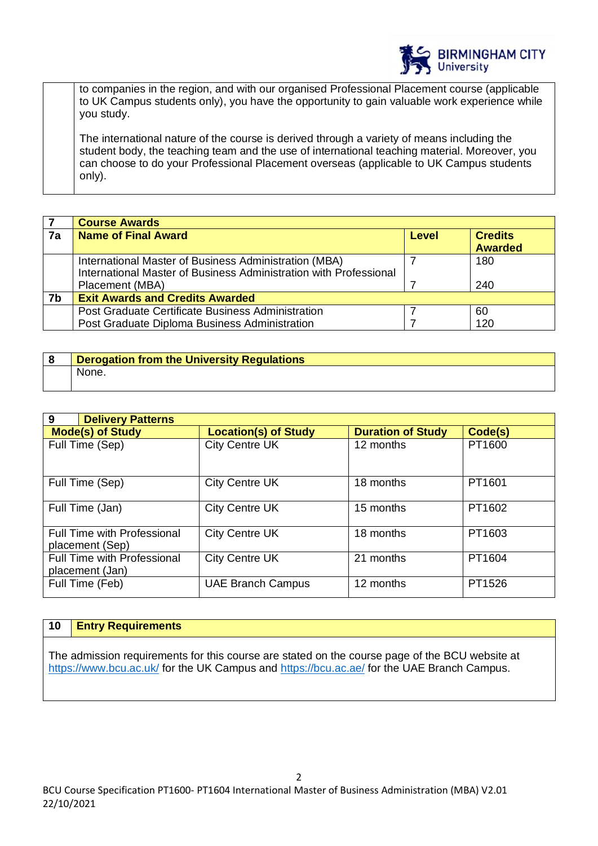

to companies in the region, and with our organised Professional Placement course (applicable to UK Campus students only), you have the opportunity to gain valuable work experience while you study.

The international nature of the course is derived through a variety of means including the student body, the teaching team and the use of international teaching material. Moreover, you can choose to do your Professional Placement overseas (applicable to UK Campus students only).

|    | <b>Course Awards</b>                                              |       |                |
|----|-------------------------------------------------------------------|-------|----------------|
| 7a | <b>Name of Final Award</b>                                        | Level | <b>Credits</b> |
|    |                                                                   |       | <b>Awarded</b> |
|    | International Master of Business Administration (MBA)             |       | 180            |
|    | International Master of Business Administration with Professional |       |                |
|    | Placement (MBA)                                                   |       | 240            |
| 7b | <b>Exit Awards and Credits Awarded</b>                            |       |                |
|    | Post Graduate Certificate Business Administration                 |       | 60             |
|    | Post Graduate Diploma Business Administration                     |       | 120            |

| <b>Derogation from the University Regulations</b> |  |
|---------------------------------------------------|--|
| None.                                             |  |

| 9<br><b>Delivery Patterns</b>                         |                             |                          |         |
|-------------------------------------------------------|-----------------------------|--------------------------|---------|
| <b>Mode(s) of Study</b>                               | <b>Location(s) of Study</b> | <b>Duration of Study</b> | Code(s) |
| Full Time (Sep)                                       | <b>City Centre UK</b>       | 12 months                | PT1600  |
| Full Time (Sep)                                       | <b>City Centre UK</b>       | 18 months                | PT1601  |
| Full Time (Jan)                                       | <b>City Centre UK</b>       | 15 months                | PT1602  |
| <b>Full Time with Professional</b><br>placement (Sep) | <b>City Centre UK</b>       | 18 months                | PT1603  |
| Full Time with Professional<br>placement (Jan)        | City Centre UK              | 21 months                | PT1604  |
| Full Time (Feb)                                       | <b>UAE Branch Campus</b>    | 12 months                | PT1526  |

# **10 Entry Requirements**

The admission requirements for this course are stated on the course page of the BCU website at <https://www.bcu.ac.uk/> for the UK Campus and<https://bcu.ac.ae/> for the UAE Branch Campus.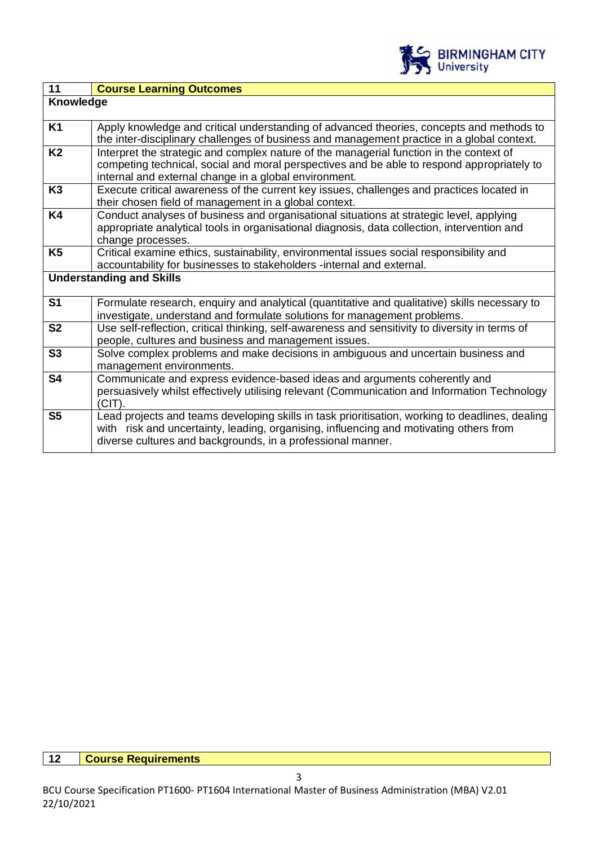

| 11             | <b>Course Learning Outcomes</b>                                                                                                                                                                                                                          |
|----------------|----------------------------------------------------------------------------------------------------------------------------------------------------------------------------------------------------------------------------------------------------------|
| Knowledge      |                                                                                                                                                                                                                                                          |
|                |                                                                                                                                                                                                                                                          |
| <b>K1</b>      | Apply knowledge and critical understanding of advanced theories, concepts and methods to<br>the inter-disciplinary challenges of business and management practice in a global context.                                                                   |
| K <sub>2</sub> | Interpret the strategic and complex nature of the managerial function in the context of<br>competing technical, social and moral perspectives and be able to respond appropriately to<br>internal and external change in a global environment.           |
| K <sub>3</sub> | Execute critical awareness of the current key issues, challenges and practices located in<br>their chosen field of management in a global context.                                                                                                       |
| K4             | Conduct analyses of business and organisational situations at strategic level, applying<br>appropriate analytical tools in organisational diagnosis, data collection, intervention and<br>change processes.                                              |
| K <sub>5</sub> | Critical examine ethics, sustainability, environmental issues social responsibility and<br>accountability for businesses to stakeholders -internal and external.                                                                                         |
|                | <b>Understanding and Skills</b>                                                                                                                                                                                                                          |
| S <sub>1</sub> | Formulate research, enquiry and analytical (quantitative and qualitative) skills necessary to<br>investigate, understand and formulate solutions for management problems.                                                                                |
| S <sub>2</sub> | Use self-reflection, critical thinking, self-awareness and sensitivity to diversity in terms of<br>people, cultures and business and management issues.                                                                                                  |
| S <sub>3</sub> | Solve complex problems and make decisions in ambiguous and uncertain business and<br>management environments.                                                                                                                                            |
| S <sub>4</sub> | Communicate and express evidence-based ideas and arguments coherently and<br>persuasively whilst effectively utilising relevant (Communication and Information Technology<br>$(CIT)$ .                                                                   |
| S <sub>5</sub> | Lead projects and teams developing skills in task prioritisation, working to deadlines, dealing<br>with risk and uncertainty, leading, organising, influencing and motivating others from<br>diverse cultures and backgrounds, in a professional manner. |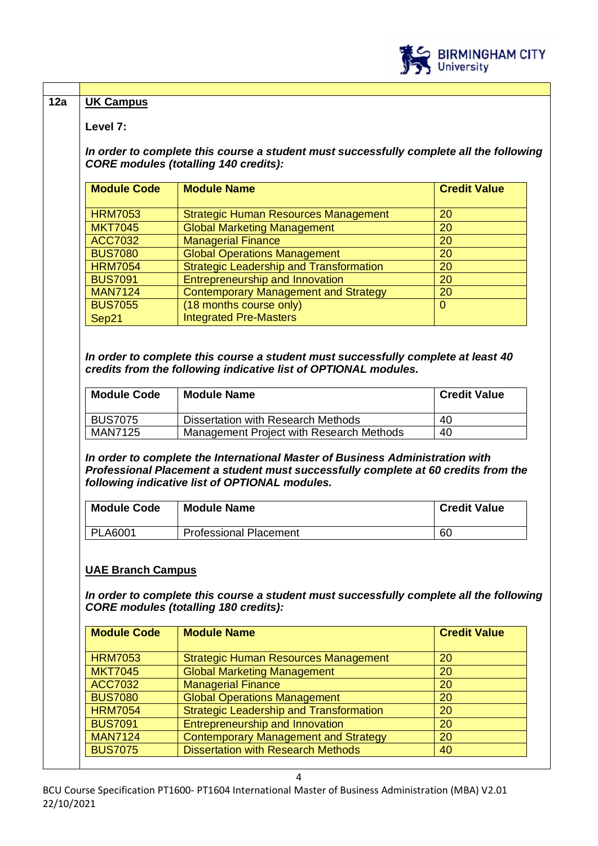

| Level 7:<br><b>Module Code</b><br><b>HRM7053</b><br><b>MKT7045</b> | In order to complete this course a student must successfully complete all the following<br><b>CORE modules (totalling 140 credits):</b><br><b>Module Name</b>                                     |                           |  |
|--------------------------------------------------------------------|---------------------------------------------------------------------------------------------------------------------------------------------------------------------------------------------------|---------------------------|--|
|                                                                    |                                                                                                                                                                                                   |                           |  |
|                                                                    |                                                                                                                                                                                                   |                           |  |
|                                                                    |                                                                                                                                                                                                   |                           |  |
|                                                                    |                                                                                                                                                                                                   |                           |  |
|                                                                    |                                                                                                                                                                                                   | <b>Credit Value</b>       |  |
|                                                                    | <b>Strategic Human Resources Management</b>                                                                                                                                                       | 20                        |  |
|                                                                    | <b>Global Marketing Management</b>                                                                                                                                                                | 20                        |  |
| <b>ACC7032</b>                                                     | <b>Managerial Finance</b>                                                                                                                                                                         | 20                        |  |
| <b>BUS7080</b>                                                     | <b>Global Operations Management</b>                                                                                                                                                               | 20                        |  |
| <b>HRM7054</b>                                                     | <b>Strategic Leadership and Transformation</b>                                                                                                                                                    | 20                        |  |
| <b>BUS7091</b>                                                     | Entrepreneurship and Innovation                                                                                                                                                                   | 20                        |  |
| <b>MAN7124</b>                                                     | <b>Contemporary Management and Strategy</b>                                                                                                                                                       | 20                        |  |
| <b>BUS7055</b>                                                     | (18 months course only)                                                                                                                                                                           | $\Omega$                  |  |
| Sep21                                                              | <b>Integrated Pre-Masters</b>                                                                                                                                                                     |                           |  |
|                                                                    | <b>Module Name</b>                                                                                                                                                                                | <b>Credit Value</b>       |  |
|                                                                    |                                                                                                                                                                                                   | 40                        |  |
| <b>MAN7125</b>                                                     | Management Project with Research Methods                                                                                                                                                          | 40                        |  |
|                                                                    | Professional Placement a student must successfully complete at 60 credits from the                                                                                                                |                           |  |
| <b>Module Code</b>                                                 | following indicative list of OPTIONAL modules.<br><b>Module Name</b>                                                                                                                              |                           |  |
| PLA6001                                                            | <b>Professional Placement</b>                                                                                                                                                                     | <b>Credit Value</b><br>60 |  |
|                                                                    | In order to complete this course a student must successfully complete all the following                                                                                                           |                           |  |
| <b>Module Code</b>                                                 | <b>CORE modules (totalling 180 credits):</b><br><b>Module Name</b>                                                                                                                                |                           |  |
| <b>HRM7053</b>                                                     |                                                                                                                                                                                                   | 20                        |  |
|                                                                    | <b>Strategic Human Resources Management</b>                                                                                                                                                       | <b>Credit Value</b>       |  |
| <b>MKT7045</b>                                                     | <b>Global Marketing Management</b>                                                                                                                                                                | 20                        |  |
| <b>UAE Branch Campus</b><br><b>ACC7032</b>                         | <b>Managerial Finance</b>                                                                                                                                                                         | 20                        |  |
| <b>BUS7080</b>                                                     | <b>Global Operations Management</b>                                                                                                                                                               | 20                        |  |
| <b>HRM7054</b>                                                     | <b>Strategic Leadership and Transformation</b>                                                                                                                                                    | 20                        |  |
| <b>BUS7091</b><br><b>MAN7124</b>                                   | Entrepreneurship and Innovation<br><b>Contemporary Management and Strategy</b>                                                                                                                    | 20<br>20                  |  |
| <b>Module Code</b><br><b>BUS7075</b>                               | In order to complete this course a student must successfully complete at least 40<br>credits from the following indicative list of OPTIONAL modules.<br><b>Dissertation with Research Methods</b> |                           |  |

Г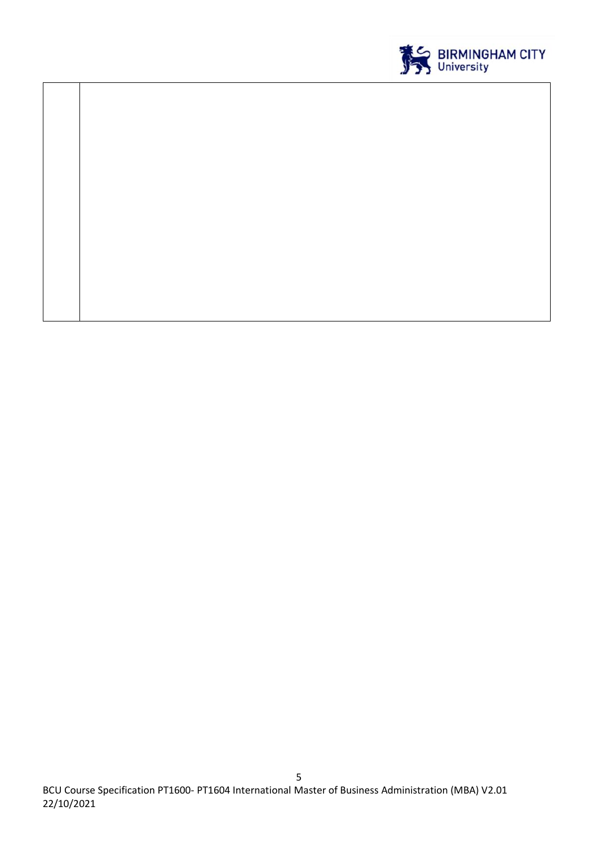

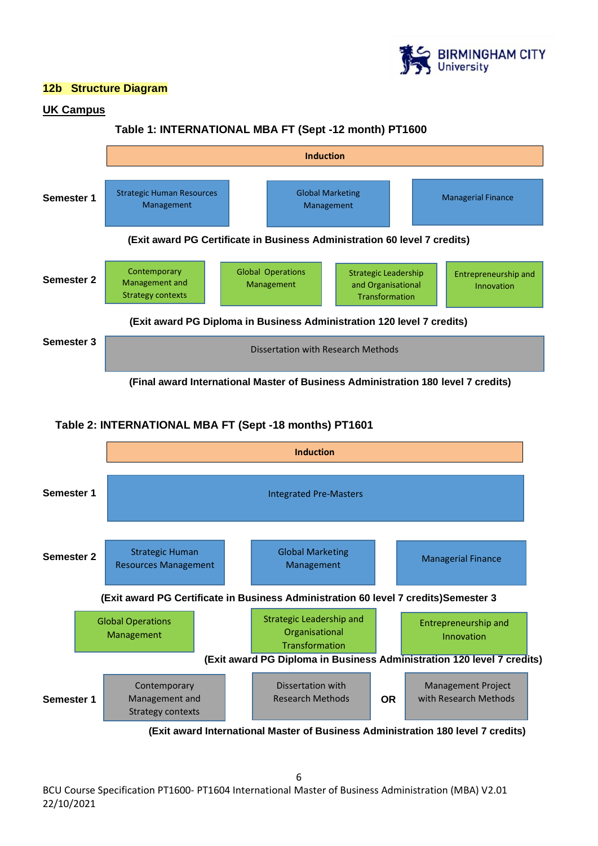

### **12b Structure Diagram**

## **UK Campus**





# **Table 2: INTERNATIONAL MBA FT (Sept -18 months) PT1601**



**(Exit award International Master of Business Administration 180 level 7 credits)**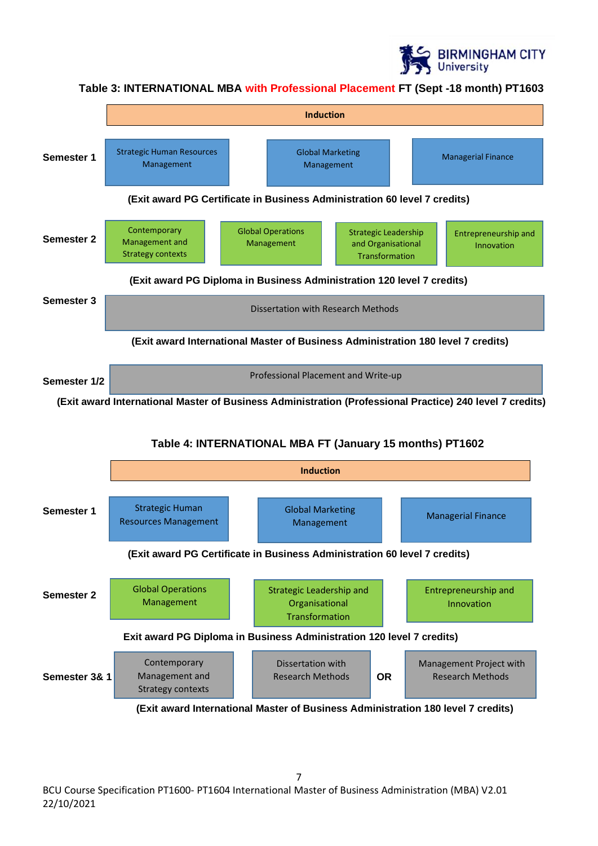

**Table 3: INTERNATIONAL MBA with Professional Placement FT (Sept -18 month) PT1603**



BCU Course Specification PT1600- PT1604 International Master of Business Administration (MBA) V2.01 22/10/2021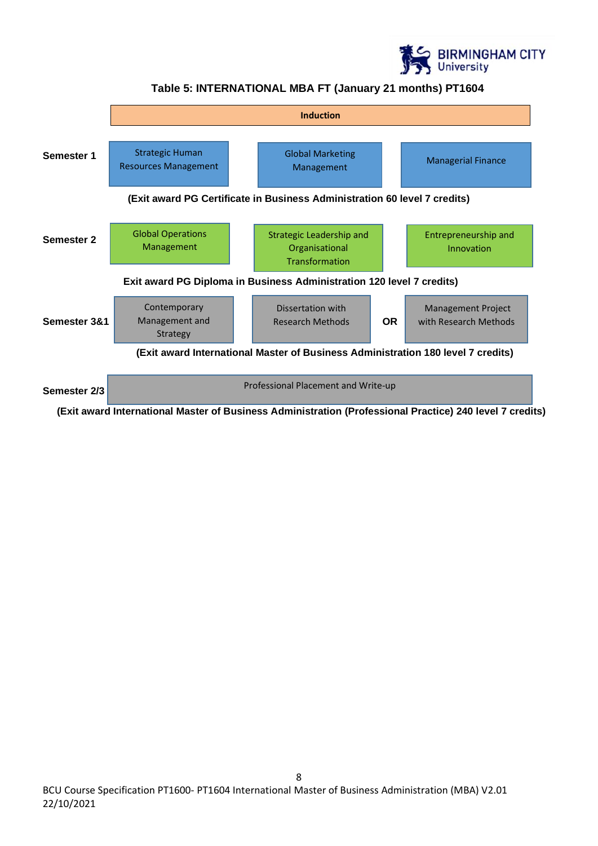





8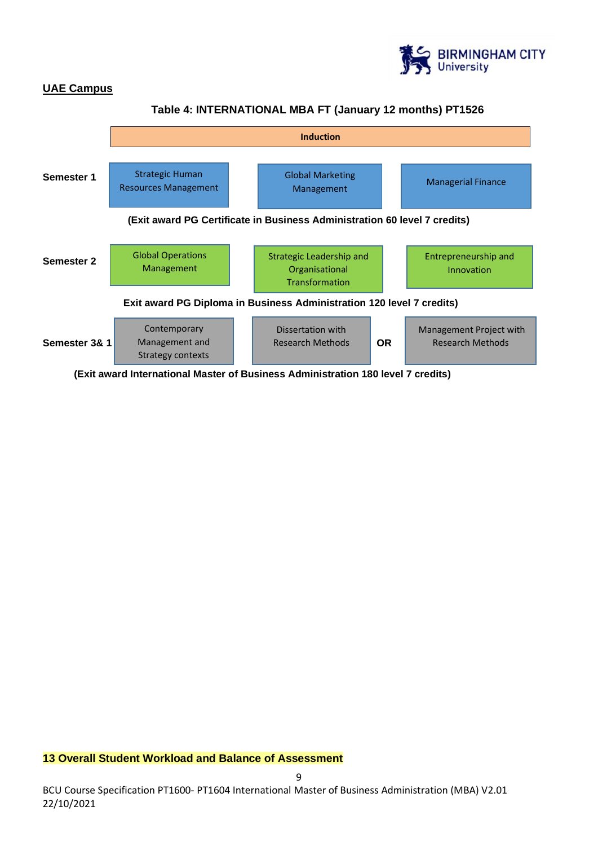

## **UAE Campus**



#### **Table 4: INTERNATIONAL MBA FT (January 12 months) PT1526**

**(Exit award International Master of Business Administration 180 level 7 credits)**

#### **13 Overall Student Workload and Balance of Assessment**

9